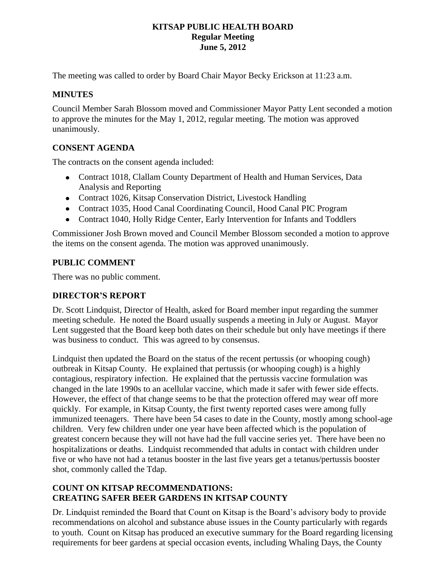### **KITSAP PUBLIC HEALTH BOARD Regular Meeting June 5, 2012**

The meeting was called to order by Board Chair Mayor Becky Erickson at 11:23 a.m.

## **MINUTES**

Council Member Sarah Blossom moved and Commissioner Mayor Patty Lent seconded a motion to approve the minutes for the May 1, 2012, regular meeting. The motion was approved unanimously.

## **CONSENT AGENDA**

The contracts on the consent agenda included:

- Contract 1018, Clallam County Department of Health and Human Services, Data Analysis and Reporting
- Contract 1026, Kitsap Conservation District, Livestock Handling
- Contract 1035, Hood Canal Coordinating Council, Hood Canal PIC Program
- Contract 1040, Holly Ridge Center, Early Intervention for Infants and Toddlers

Commissioner Josh Brown moved and Council Member Blossom seconded a motion to approve the items on the consent agenda. The motion was approved unanimously.

#### **PUBLIC COMMENT**

There was no public comment.

#### **DIRECTOR'S REPORT**

Dr. Scott Lindquist, Director of Health, asked for Board member input regarding the summer meeting schedule. He noted the Board usually suspends a meeting in July or August. Mayor Lent suggested that the Board keep both dates on their schedule but only have meetings if there was business to conduct. This was agreed to by consensus.

Lindquist then updated the Board on the status of the recent pertussis (or whooping cough) outbreak in Kitsap County. He explained that pertussis (or whooping cough) is a highly contagious, respiratory infection. He explained that the pertussis vaccine formulation was changed in the late 1990s to an acellular vaccine, which made it safer with fewer side effects. However, the effect of that change seems to be that the protection offered may wear off more quickly. For example, in Kitsap County, the first twenty reported cases were among fully immunized teenagers. There have been 54 cases to date in the County, mostly among school-age children. Very few children under one year have been affected which is the population of greatest concern because they will not have had the full vaccine series yet. There have been no hospitalizations or deaths. Lindquist recommended that adults in contact with children under five or who have not had a tetanus booster in the last five years get a tetanus/pertussis booster shot, commonly called the Tdap.

# **COUNT ON KITSAP RECOMMENDATIONS: CREATING SAFER BEER GARDENS IN KITSAP COUNTY**

Dr. Lindquist reminded the Board that Count on Kitsap is the Board's advisory body to provide recommendations on alcohol and substance abuse issues in the County particularly with regards to youth. Count on Kitsap has produced an executive summary for the Board regarding licensing requirements for beer gardens at special occasion events, including Whaling Days, the County